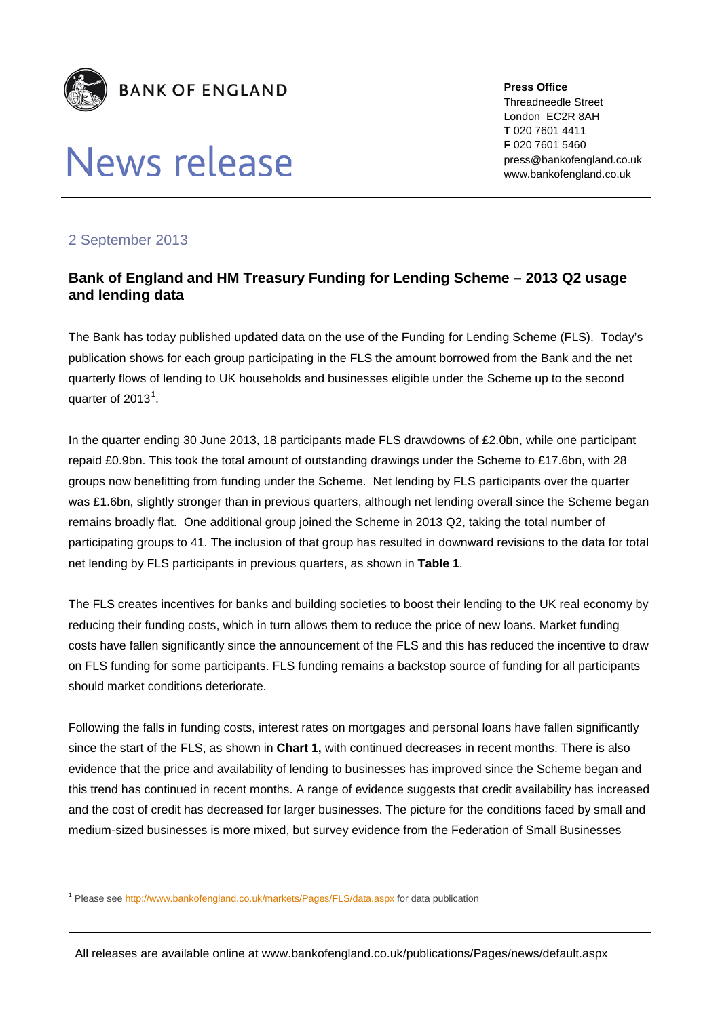

## News release

**Press Office** Threadneedle Street London EC2R 8AH **T** 020 7601 4411 **F** 020 7601 5460 press@bankofengland.co.uk www.bankofengland.co.uk

## 2 September 2013

## **Bank of England and HM Treasury Funding for Lending Scheme – 2013 Q2 usage and lending data**

The Bank has today published updated data on the use of the Funding for Lending Scheme (FLS). Today's publication shows for each group participating in the FLS the amount borrowed from the Bank and the net quarterly flows of lending to UK households and businesses eligible under the Scheme up to the second quarter of 20[1](#page-0-0)3 $^1$ .

In the quarter ending 30 June 2013, 18 participants made FLS drawdowns of £2.0bn, while one participant repaid £0.9bn. This took the total amount of outstanding drawings under the Scheme to £17.6bn, with 28 groups now benefitting from funding under the Scheme. Net lending by FLS participants over the quarter was £1.6bn, slightly stronger than in previous quarters, although net lending overall since the Scheme began remains broadly flat. One additional group joined the Scheme in 2013 Q2, taking the total number of participating groups to 41. The inclusion of that group has resulted in downward revisions to the data for total net lending by FLS participants in previous quarters, as shown in **Table 1**.

The FLS creates incentives for banks and building societies to boost their lending to the UK real economy by reducing their funding costs, which in turn allows them to reduce the price of new loans. Market funding costs have fallen significantly since the announcement of the FLS and this has reduced the incentive to draw on FLS funding for some participants. FLS funding remains a backstop source of funding for all participants should market conditions deteriorate.

Following the falls in funding costs, interest rates on mortgages and personal loans have fallen significantly since the start of the FLS, as shown in **Chart 1,** with continued decreases in recent months. There is also evidence that the price and availability of lending to businesses has improved since the Scheme began and this trend has continued in recent months. A range of evidence suggests that credit availability has increased and the cost of credit has decreased for larger businesses. The picture for the conditions faced by small and medium-sized businesses is more mixed, but survey evidence from the Federation of Small Businesses

<span id="page-0-0"></span> <sup>1</sup> Please se[e http://www.bankofengland.co.uk/markets/Pages/FLS/data.aspx](http://www.bankofengland.co.uk/markets/Pages/FLS/data.aspx) for data publication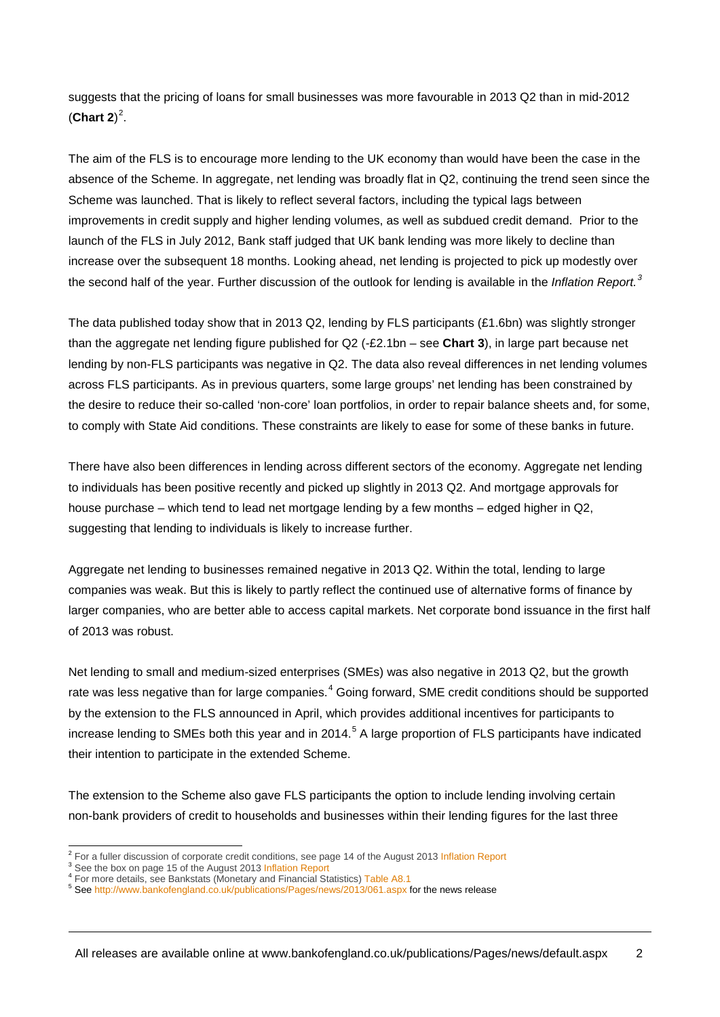suggests that the pricing of loans for small businesses was more favourable in 2013 Q2 than in mid-2012  $(Chart 2)^2$  $(Chart 2)^2$  $(Chart 2)^2$ .

The aim of the FLS is to encourage more lending to the UK economy than would have been the case in the absence of the Scheme. In aggregate, net lending was broadly flat in Q2, continuing the trend seen since the Scheme was launched. That is likely to reflect several factors, including the typical lags between improvements in credit supply and higher lending volumes, as well as subdued credit demand. Prior to the launch of the FLS in July 2012, Bank staff judged that UK bank lending was more likely to decline than increase over the subsequent 18 months. Looking ahead, net lending is projected to pick up modestly over the second half of the year. Further discussion of the outlook for lending is available in the *Inflation Report.[3](#page-1-1)*

The data published today show that in 2013 Q2, lending by FLS participants (£1.6bn) was slightly stronger than the aggregate net lending figure published for Q2 (-£2.1bn – see **Chart 3**), in large part because net lending by non-FLS participants was negative in Q2. The data also reveal differences in net lending volumes across FLS participants. As in previous quarters, some large groups' net lending has been constrained by the desire to reduce their so-called 'non-core' loan portfolios, in order to repair balance sheets and, for some, to comply with State Aid conditions. These constraints are likely to ease for some of these banks in future.

There have also been differences in lending across different sectors of the economy. Aggregate net lending to individuals has been positive recently and picked up slightly in 2013 Q2. And mortgage approvals for house purchase – which tend to lead net mortgage lending by a few months – edged higher in Q2, suggesting that lending to individuals is likely to increase further.

Aggregate net lending to businesses remained negative in 2013 Q2. Within the total, lending to large companies was weak. But this is likely to partly reflect the continued use of alternative forms of finance by larger companies, who are better able to access capital markets. Net corporate bond issuance in the first half of 2013 was robust.

Net lending to small and medium-sized enterprises (SMEs) was also negative in 2013 Q2, but the growth rate was less negative than for large companies.<sup>[4](#page-1-2)</sup> Going forward, SME credit conditions should be supported by the extension to the FLS announced in April, which provides additional incentives for participants to increase lending to SMEs both this year and in 2014.<sup>[5](#page-1-3)</sup> A large proportion of FLS participants have indicated their intention to participate in the extended Scheme.

The extension to the Scheme also gave FLS participants the option to include lending involving certain non-bank providers of credit to households and businesses within their lending figures for the last three

<span id="page-1-0"></span><sup>&</sup>lt;sup>2</sup> For a fuller discussion of corporate credit conditions, see page 14 of the August 201[3 Inflation Report](http://www.bankofengland.co.uk/publications/Documents/inflationreport/2013/ir13aug.pdf)  $^3$  See the box on page 15 of the August 2013 Inflation Report<br> $^4$  For more details, see Bankstats (Monetary an

<span id="page-1-1"></span>

<span id="page-1-2"></span>

<span id="page-1-3"></span>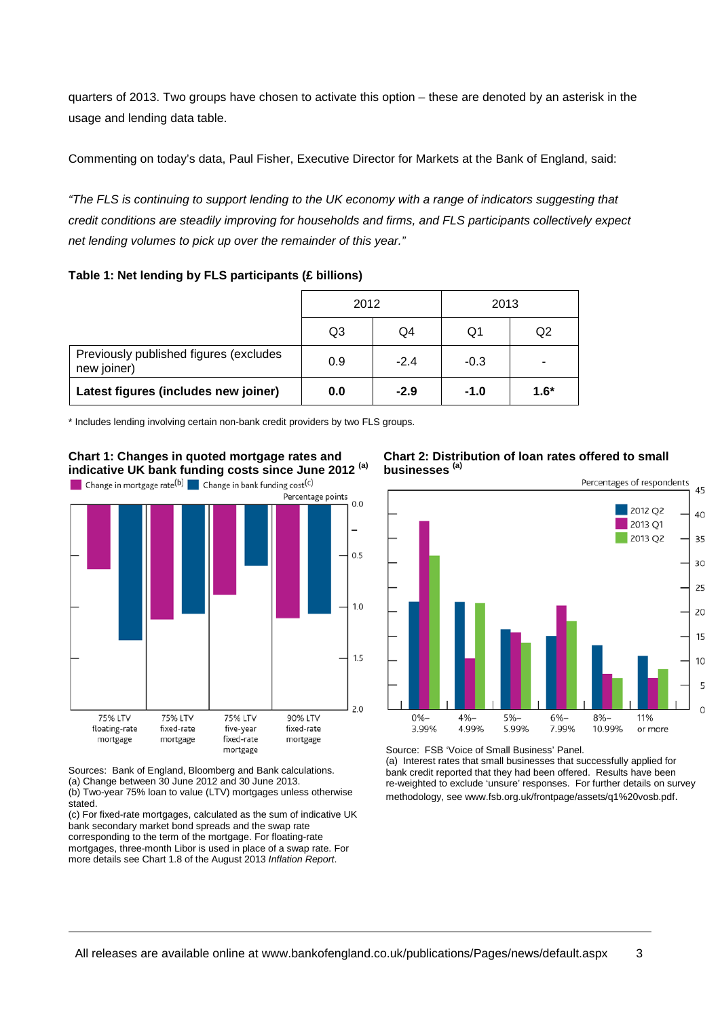quarters of 2013. Two groups have chosen to activate this option – these are denoted by an asterisk in the usage and lending data table.

Commenting on today's data, Paul Fisher, Executive Director for Markets at the Bank of England, said:

*"The FLS is continuing to support lending to the UK economy with a range of indicators suggesting that credit conditions are steadily improving for households and firms, and FLS participants collectively expect net lending volumes to pick up over the remainder of this year."*

**Table 1: Net lending by FLS participants (£ billions)**

|                                                       | 2012 |        | 2013   |        |
|-------------------------------------------------------|------|--------|--------|--------|
|                                                       | Q3   | Q4     | Q1     | Q2     |
| Previously published figures (excludes<br>new joiner) | 0.9  | $-2.4$ | $-0.3$ |        |
| Latest figures (includes new joiner)                  | 0.0  | $-2.9$ | $-1.0$ | $1.6*$ |

\* Includes lending involving certain non-bank credit providers by two FLS groups.



Sources: Bank of England, Bloomberg and Bank calculations. (a) Change between 30 June 2012 and 30 June 2013. (b) Two-year 75% loan to value (LTV) mortgages unless otherwise

stated.

(c) For fixed-rate mortgages, calculated as the sum of indicative UK bank secondary market bond spreads and the swap rate corresponding to the term of the mortgage. For floating-rate mortgages, three-month Libor is used in place of a swap rate. For more details see Chart 1.8 of the August 2013 *Inflation Report*.





Source: FSB 'Voice of Small Business' Panel. (a) Interest rates that small businesses that successfully applied for

bank credit reported that they had been offered. Results have been re-weighted to exclude 'unsure' responses. For further details on survey methodology, see www.fsb.org.uk/frontpage/assets/q1%20vosb.pdf.